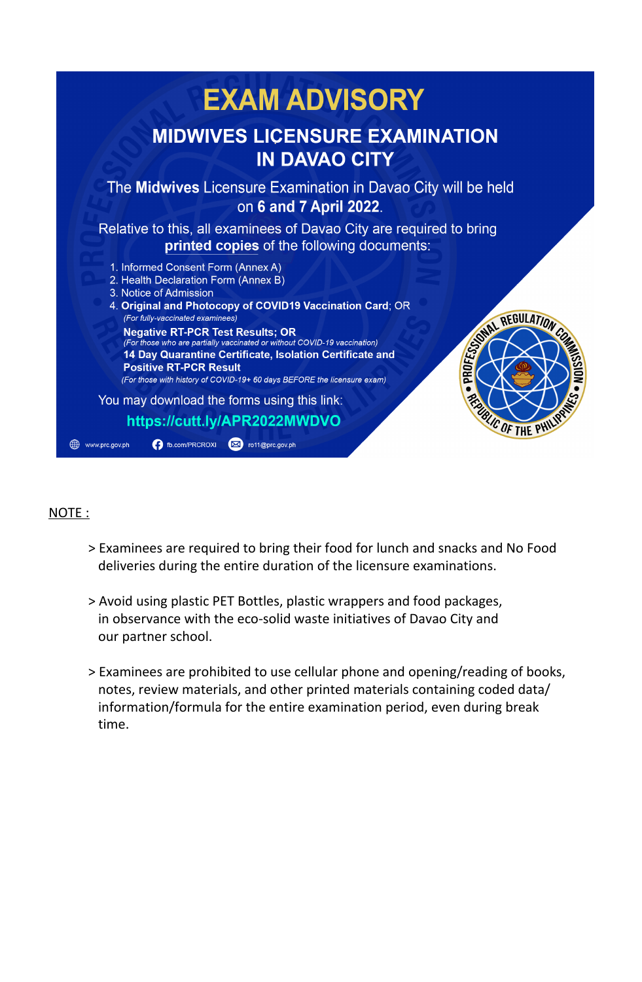

#### NOTE :

- > Examinees are required to bring their food for lunch and snacks and No Food deliveries during the entire duration of the licensure examinations.
- > Avoid using plastic PET Bottles, plastic wrappers and food packages, in observance with the eco-solid waste initiatives of Davao City and our partner school.
- > Examinees are prohibited to use cellular phone and opening/reading of books, notes, review materials, and other printed materials containing coded data/ information/formula for the entire examination period, even during break time.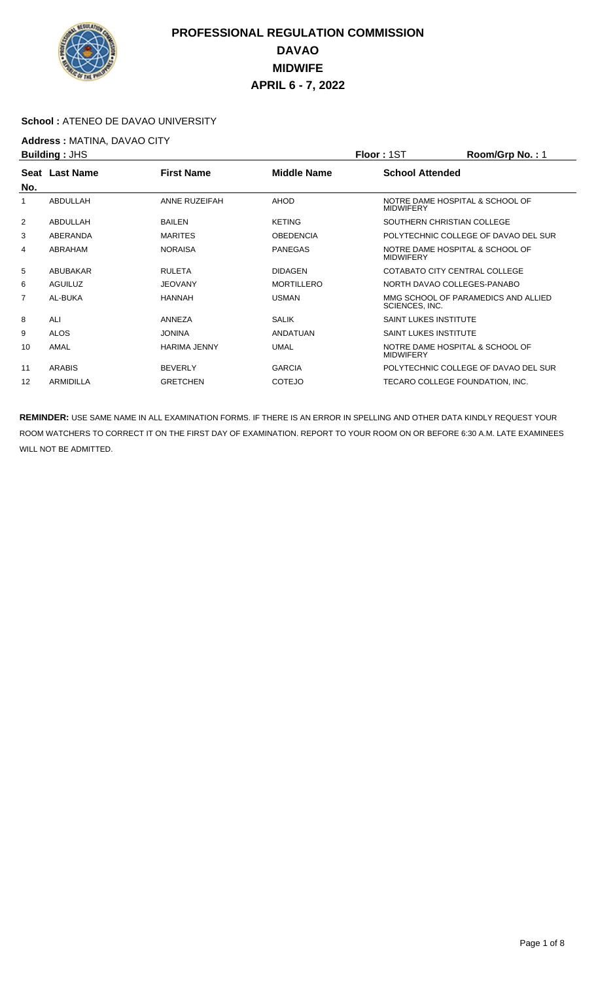

#### **School :** ATENEO DE DAVAO UNIVERSITY

**Address : MATINA, DAVAO CITY**<br>**Building : JHS** 

|                | <b>Building: JHS</b>                                             |                     | <b>Floor: 1ST</b>      | Room/Grp No.: 1              |                                                       |  |
|----------------|------------------------------------------------------------------|---------------------|------------------------|------------------------------|-------------------------------------------------------|--|
|                | <b>First Name</b><br><b>Seat Last Name</b><br><b>Middle Name</b> |                     | <b>School Attended</b> |                              |                                                       |  |
| No.            |                                                                  |                     |                        |                              |                                                       |  |
| 1              | ABDULLAH                                                         | ANNE RUZEIFAH       | <b>AHOD</b>            | <b>MIDWIFERY</b>             | NOTRE DAME HOSPITAL & SCHOOL OF                       |  |
| 2              | ABDULLAH                                                         | <b>BAILEN</b>       | <b>KETING</b>          |                              | SOUTHERN CHRISTIAN COLLEGE                            |  |
| 3              | ABERANDA                                                         | <b>MARITES</b>      | <b>OBEDENCIA</b>       |                              | POLYTECHNIC COLLEGE OF DAVAO DEL SUR                  |  |
| 4              | ABRAHAM                                                          | <b>NORAISA</b>      | <b>PANEGAS</b>         | <b>MIDWIFERY</b>             | NOTRE DAME HOSPITAL & SCHOOL OF                       |  |
| 5              | ABUBAKAR                                                         | <b>RULETA</b>       | <b>DIDAGEN</b>         |                              | COTABATO CITY CENTRAL COLLEGE                         |  |
| 6              | <b>AGUILUZ</b>                                                   | <b>JEOVANY</b>      | <b>MORTILLERO</b>      |                              | NORTH DAVAO COLLEGES-PANABO                           |  |
| $\overline{7}$ | AL-BUKA                                                          | <b>HANNAH</b>       | <b>USMAN</b>           |                              | MMG SCHOOL OF PARAMEDICS AND ALLIED<br>SCIENCES, INC. |  |
| 8              | ALI                                                              | ANNEZA              | <b>SALIK</b>           | <b>SAINT LUKES INSTITUTE</b> |                                                       |  |
| 9              | <b>ALOS</b>                                                      | <b>JONINA</b>       | ANDATUAN               | <b>SAINT LUKES INSTITUTE</b> |                                                       |  |
| 10             | AMAL                                                             | <b>HARIMA JENNY</b> | <b>UMAL</b>            | <b>MIDWIFERY</b>             | NOTRE DAME HOSPITAL & SCHOOL OF                       |  |
| 11             | <b>ARABIS</b>                                                    | <b>BEVERLY</b>      | <b>GARCIA</b>          |                              | POLYTECHNIC COLLEGE OF DAVAO DEL SUR                  |  |
| 12             | <b>ARMIDILLA</b>                                                 | <b>GRETCHEN</b>     | <b>COTEJO</b>          |                              | TECARO COLLEGE FOUNDATION, INC.                       |  |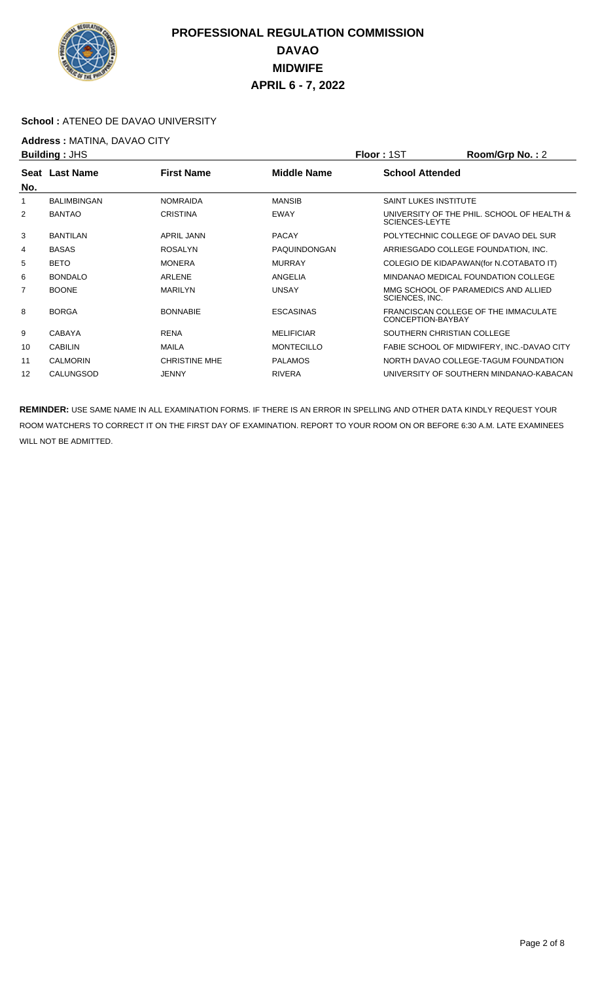

#### **School :** ATENEO DE DAVAO UNIVERSITY

## **Address :** MATINA, DAVAO CITY

|                    |                                        |                    |                              | Room/Grp No.: 2                            |
|--------------------|----------------------------------------|--------------------|------------------------------|--------------------------------------------|
|                    | <b>First Name</b>                      | <b>Middle Name</b> | <b>School Attended</b>       |                                            |
| <b>BALIMBINGAN</b> | <b>NOMRAIDA</b>                        | <b>MANSIB</b>      | <b>SAINT LUKES INSTITUTE</b> |                                            |
| <b>BANTAO</b>      | <b>CRISTINA</b>                        | <b>EWAY</b>        | <b>SCIENCES-LEYTE</b>        | UNIVERSITY OF THE PHIL. SCHOOL OF HEALTH & |
| <b>BANTILAN</b>    | <b>APRIL JANN</b>                      | <b>PACAY</b>       |                              | POLYTECHNIC COLLEGE OF DAVAO DEL SUR       |
| <b>BASAS</b>       | <b>ROSALYN</b>                         | PAQUINDONGAN       |                              | ARRIESGADO COLLEGE FOUNDATION, INC.        |
| <b>BETO</b>        | <b>MONERA</b>                          | <b>MURRAY</b>      |                              | COLEGIO DE KIDAPAWAN(for N.COTABATO IT)    |
| <b>BONDALO</b>     | ARLENE                                 | ANGELIA            |                              | MINDANAO MEDICAL FOUNDATION COLLEGE        |
| <b>BOONE</b>       | <b>MARILYN</b>                         | <b>UNSAY</b>       | SCIENCES, INC.               | MMG SCHOOL OF PARAMEDICS AND ALLIED        |
| <b>BORGA</b>       | <b>BONNABIE</b>                        | <b>ESCASINAS</b>   | CONCEPTION-BAYBAY            | FRANCISCAN COLLEGE OF THE IMMACULATE       |
| <b>CABAYA</b>      | <b>RENA</b>                            | <b>MELIFICIAR</b>  | SOUTHERN CHRISTIAN COLLEGE   |                                            |
| <b>CABILIN</b>     | <b>MAILA</b>                           | <b>MONTECILLO</b>  |                              | FABIE SCHOOL OF MIDWIFERY, INC.-DAVAO CITY |
| <b>CALMORIN</b>    | <b>CHRISTINE MHE</b>                   | <b>PALAMOS</b>     |                              | NORTH DAVAO COLLEGE-TAGUM FOUNDATION       |
| CALUNGSOD          | <b>JENNY</b>                           | <b>RIVERA</b>      |                              | UNIVERSITY OF SOUTHERN MINDANAO-KABACAN    |
|                    | <b>Building: JHS</b><br>Seat Last Name |                    |                              | <b>Floor: 1ST</b>                          |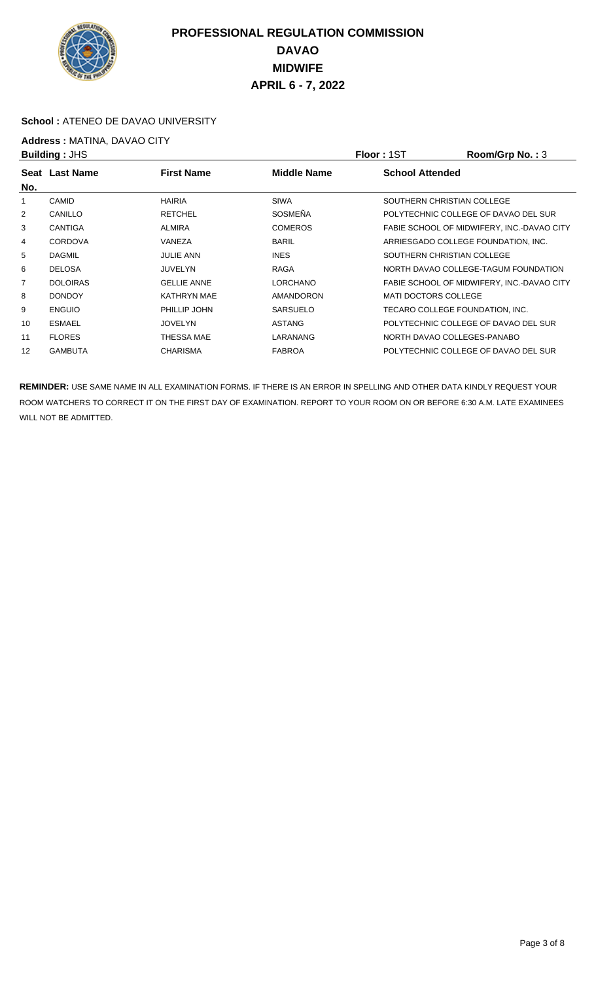

#### **School :** ATENEO DE DAVAO UNIVERSITY

# **Address : MATINA, DAVAO CITY**<br>**Building : JHS**

|     | <b>Building: JHS</b> |                    | <b>Floor: 1ST</b>  | Room/Grp No.: 3        |                                            |
|-----|----------------------|--------------------|--------------------|------------------------|--------------------------------------------|
|     | Seat Last Name       | <b>First Name</b>  | <b>Middle Name</b> | <b>School Attended</b> |                                            |
| No. |                      |                    |                    |                        |                                            |
|     | <b>CAMID</b>         | <b>HAIRIA</b>      | <b>SIWA</b>        |                        | SOUTHERN CHRISTIAN COLLEGE                 |
| 2   | CANILLO              | <b>RETCHEL</b>     | <b>SOSMEÑA</b>     |                        | POLYTECHNIC COLLEGE OF DAVAO DEL SUR       |
| 3   | <b>CANTIGA</b>       | <b>ALMIRA</b>      | <b>COMEROS</b>     |                        | FABIE SCHOOL OF MIDWIFERY. INC.-DAVAO CITY |
| 4   | <b>CORDOVA</b>       | VANEZA             | <b>BARIL</b>       |                        | ARRIESGADO COLLEGE FOUNDATION, INC.        |
| 5   | <b>DAGMIL</b>        | <b>JULIE ANN</b>   | <b>INES</b>        |                        | SOUTHERN CHRISTIAN COLLEGE                 |
| 6   | <b>DELOSA</b>        | <b>JUVELYN</b>     | <b>RAGA</b>        |                        | NORTH DAVAO COLLEGE-TAGUM FOUNDATION       |
| 7   | <b>DOLOIRAS</b>      | <b>GELLIE ANNE</b> | <b>LORCHANO</b>    |                        | FABIE SCHOOL OF MIDWIFERY, INC.-DAVAO CITY |
| 8   | <b>DONDOY</b>        | <b>KATHRYN MAE</b> | <b>AMANDORON</b>   | MATI DOCTORS COLLEGE   |                                            |
| 9   | <b>ENGUIO</b>        | PHILLIP JOHN       | <b>SARSUELO</b>    |                        | TECARO COLLEGE FOUNDATION, INC.            |
| 10  | <b>ESMAEL</b>        | <b>JOVELYN</b>     | <b>ASTANG</b>      |                        | POLYTECHNIC COLLEGE OF DAVAO DEL SUR       |
| 11  | <b>FLORES</b>        | THESSA MAE         | LARANANG           |                        | NORTH DAVAO COLLEGES-PANABO                |
| 12  | <b>GAMBUTA</b>       | <b>CHARISMA</b>    | <b>FABROA</b>      |                        | POLYTECHNIC COLLEGE OF DAVAO DEL SUR       |
|     |                      |                    |                    |                        |                                            |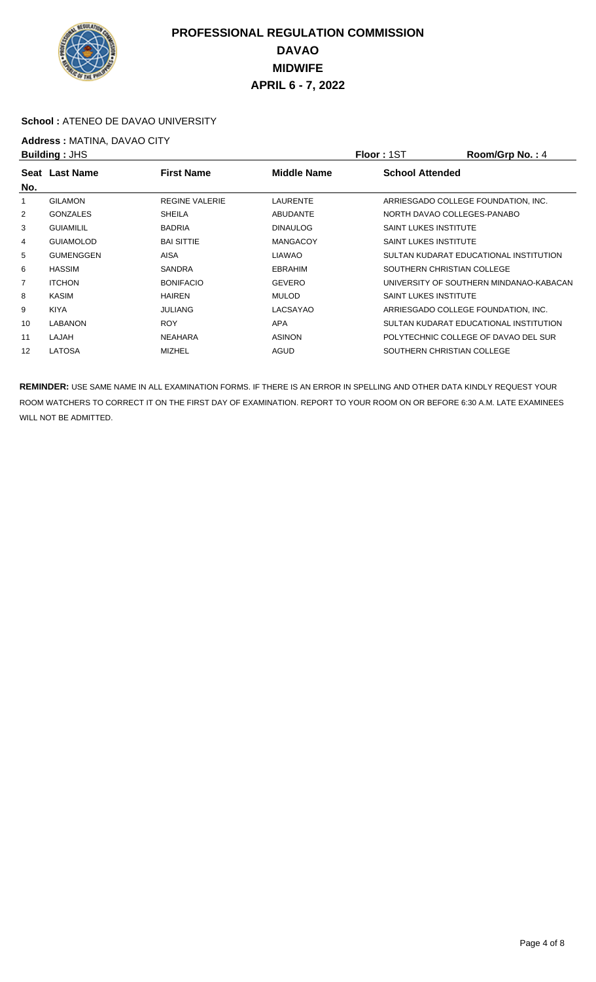

#### **School :** ATENEO DE DAVAO UNIVERSITY

# **Address : MATINA, DAVAO CITY**<br>**Building : JHS**

|                | <b>Building: JHS</b> |                       | <b>Floor: 1ST</b> | Room/Grp No.: 4              |                                         |
|----------------|----------------------|-----------------------|-------------------|------------------------------|-----------------------------------------|
| No.            | Seat Last Name       | <b>First Name</b>     | Middle Name       | <b>School Attended</b>       |                                         |
|                | <b>GILAMON</b>       | <b>REGINE VALERIE</b> | <b>LAURENTE</b>   |                              | ARRIESGADO COLLEGE FOUNDATION, INC.     |
| 2              | <b>GONZALES</b>      | <b>SHEILA</b>         | <b>ABUDANTE</b>   |                              | NORTH DAVAO COLLEGES-PANABO             |
| 3              | <b>GUIAMILIL</b>     | <b>BADRIA</b>         | <b>DINAULOG</b>   | <b>SAINT LUKES INSTITUTE</b> |                                         |
| 4              | <b>GUIAMOLOD</b>     | <b>BAI SITTIE</b>     | <b>MANGACOY</b>   | <b>SAINT LUKES INSTITUTE</b> |                                         |
| 5              | <b>GUMENGGEN</b>     | <b>AISA</b>           | <b>LIAWAO</b>     |                              | SULTAN KUDARAT EDUCATIONAL INSTITUTION  |
| 6              | <b>HASSIM</b>        | <b>SANDRA</b>         | <b>EBRAHIM</b>    |                              | SOUTHERN CHRISTIAN COLLEGE              |
| $\overline{7}$ | <b>ITCHON</b>        | <b>BONIFACIO</b>      | <b>GEVERO</b>     |                              | UNIVERSITY OF SOUTHERN MINDANAO-KABACAN |
| 8              | KASIM                | <b>HAIREN</b>         | <b>MULOD</b>      | <b>SAINT LUKES INSTITUTE</b> |                                         |
| 9              | <b>KIYA</b>          | <b>JULIANG</b>        | LACSAYAO          |                              | ARRIESGADO COLLEGE FOUNDATION. INC.     |
| 10             | LABANON              | <b>ROY</b>            | <b>APA</b>        |                              | SULTAN KUDARAT EDUCATIONAL INSTITUTION  |
| 11             | LAJAH                | <b>NEAHARA</b>        | <b>ASINON</b>     |                              | POLYTECHNIC COLLEGE OF DAVAO DEL SUR    |
| 12             | <b>LATOSA</b>        | <b>MIZHEL</b>         | AGUD              |                              | SOUTHERN CHRISTIAN COLLEGE              |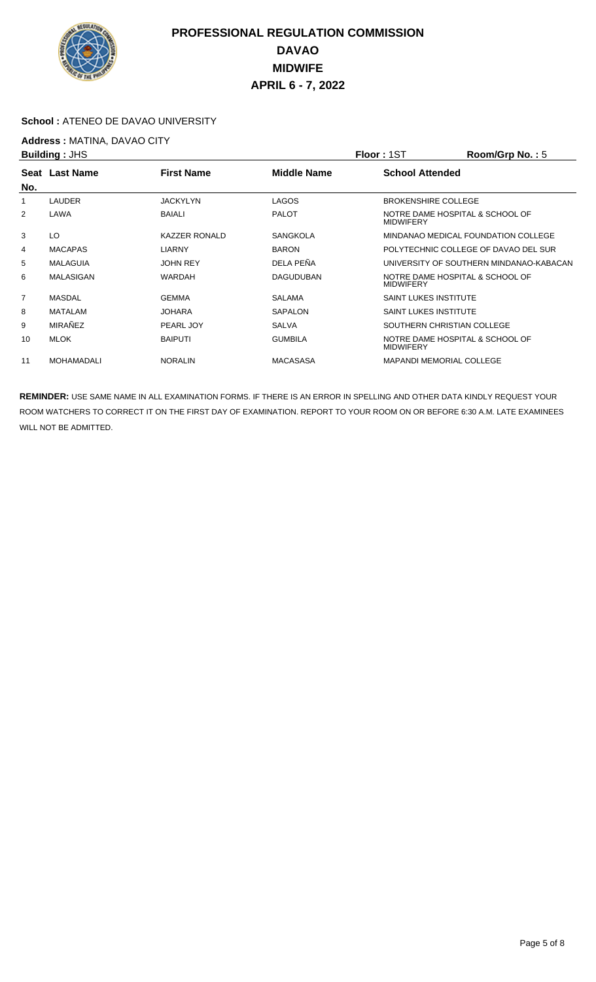

#### School : ATENEO DE DAVAO UNIVERSITY

## **Address :** MATINA, DAVAO CITY

|                | <b>Building: JHS</b> |                      | <b>Floor: 1ST</b> | Room/Grp No.: 5              |                                         |  |
|----------------|----------------------|----------------------|-------------------|------------------------------|-----------------------------------------|--|
|                | Seat Last Name       | <b>First Name</b>    | Middle Name       | <b>School Attended</b>       |                                         |  |
| No.            |                      |                      |                   |                              |                                         |  |
|                | LAUDER               | JACKYLYN             | <b>LAGOS</b>      | <b>BROKENSHIRE COLLEGE</b>   |                                         |  |
| 2              | LAWA                 | <b>BAIALI</b>        | <b>PALOT</b>      | <b>MIDWIFERY</b>             | NOTRE DAME HOSPITAL & SCHOOL OF         |  |
| 3              | LO                   | <b>KAZZER RONALD</b> | <b>SANGKOLA</b>   |                              | MINDANAO MEDICAL FOUNDATION COLLEGE     |  |
| 4              | <b>MACAPAS</b>       | <b>LIARNY</b>        | <b>BARON</b>      |                              | POLYTECHNIC COLLEGE OF DAVAO DEL SUR    |  |
| 5              | <b>MALAGUIA</b>      | <b>JOHN REY</b>      | DELA PEÑA         |                              | UNIVERSITY OF SOUTHERN MINDANAO-KABACAN |  |
| 6              | MALASIGAN            | <b>WARDAH</b>        | <b>DAGUDUBAN</b>  | <b>MIDWIFERY</b>             | NOTRE DAME HOSPITAL & SCHOOL OF         |  |
| $\overline{7}$ | MASDAL               | <b>GEMMA</b>         | <b>SALAMA</b>     | <b>SAINT LUKES INSTITUTE</b> |                                         |  |
| 8              | MATALAM              | <b>JOHARA</b>        | <b>SAPALON</b>    | <b>SAINT LUKES INSTITUTE</b> |                                         |  |
| 9              | MIRAÑEZ              | PEARL JOY            | <b>SALVA</b>      |                              | SOUTHERN CHRISTIAN COLLEGE              |  |
| 10             | MLOK                 | <b>BAIPUTI</b>       | <b>GUMBILA</b>    | <b>MIDWIFERY</b>             | NOTRE DAME HOSPITAL & SCHOOL OF         |  |
| 11             | <b>MOHAMADALI</b>    | <b>NORALIN</b>       | <b>MACASASA</b>   |                              | <b>MAPANDI MEMORIAL COLLEGE</b>         |  |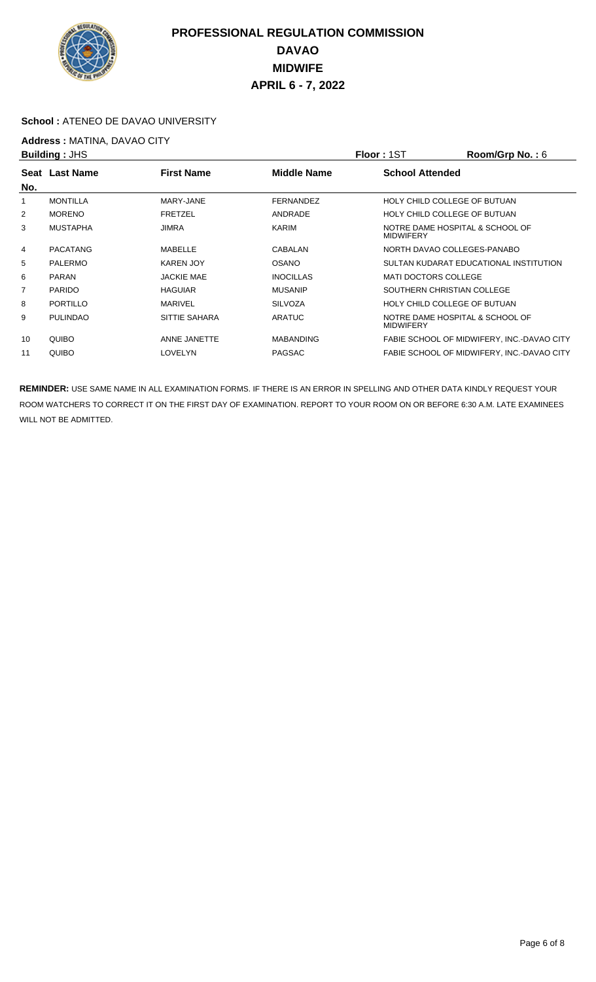

#### **School :** ATENEO DE DAVAO UNIVERSITY

## **Address : MATINA, DAVAO CITY**<br>**Building : JHS**

|                | <b>Building: JHS</b> |                   |                    | <b>Floor: 1ST</b>                                   | Room/Grp No.: 6                            |
|----------------|----------------------|-------------------|--------------------|-----------------------------------------------------|--------------------------------------------|
| No.            | Seat Last Name       | <b>First Name</b> | <b>Middle Name</b> | <b>School Attended</b>                              |                                            |
| 1              | <b>MONTILLA</b>      | MARY-JANE         | <b>FERNANDEZ</b>   | HOLY CHILD COLLEGE OF BUTUAN                        |                                            |
| 2              | <b>MORENO</b>        | <b>FRETZEL</b>    | ANDRADE            | HOLY CHILD COLLEGE OF BUTUAN                        |                                            |
| 3              | <b>MUSTAPHA</b>      | <b>JIMRA</b>      | KARIM              | NOTRE DAME HOSPITAL & SCHOOL OF<br><b>MIDWIFERY</b> |                                            |
| 4              | PACATANG             | MABELLE           | <b>CABALAN</b>     | NORTH DAVAO COLLEGES-PANABO                         |                                            |
| 5              | <b>PALERMO</b>       | <b>KAREN JOY</b>  | <b>OSANO</b>       |                                                     | SULTAN KUDARAT EDUCATIONAL INSTITUTION     |
| 6              | <b>PARAN</b>         | <b>JACKIE MAE</b> | <b>INOCILLAS</b>   | <b>MATI DOCTORS COLLEGE</b>                         |                                            |
| $\overline{7}$ | <b>PARIDO</b>        | <b>HAGUIAR</b>    | <b>MUSANIP</b>     | SOUTHERN CHRISTIAN COLLEGE                          |                                            |
| 8              | PORTILLO             | <b>MARIVEL</b>    | <b>SILVOZA</b>     | HOLY CHILD COLLEGE OF BUTUAN                        |                                            |
| 9              | <b>PULINDAO</b>      | SITTIE SAHARA     | <b>ARATUC</b>      | NOTRE DAME HOSPITAL & SCHOOL OF<br><b>MIDWIFERY</b> |                                            |
| 10             | QUIBO                | ANNE JANETTE      | <b>MABANDING</b>   |                                                     | FABIE SCHOOL OF MIDWIFERY, INC.-DAVAO CITY |
| 11             | QUIBO                | <b>LOVELYN</b>    | <b>PAGSAC</b>      |                                                     | FABIE SCHOOL OF MIDWIFERY, INC.-DAVAO CITY |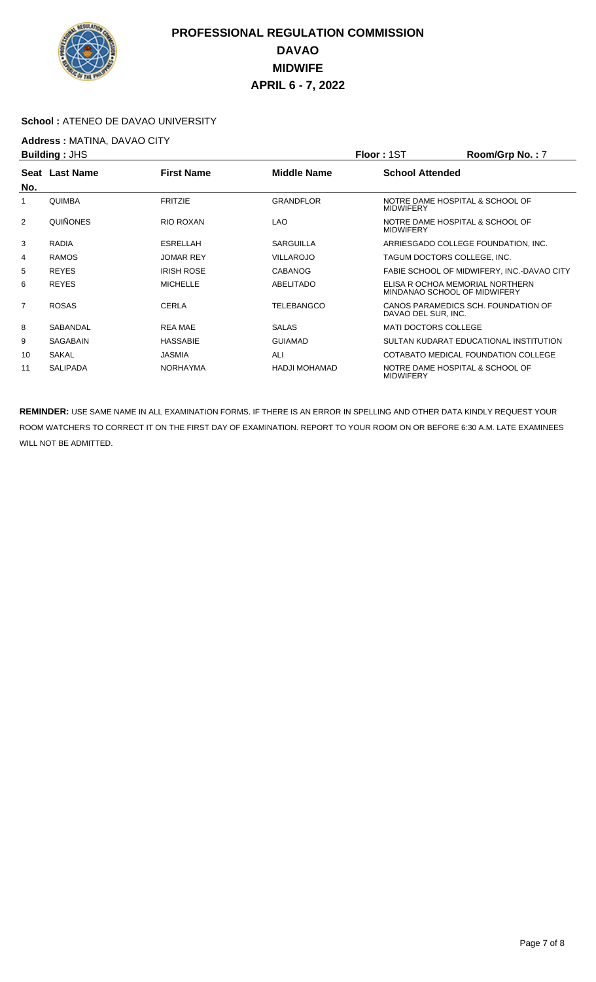

#### **School :** ATENEO DE DAVAO UNIVERSITY

## **Address : MATINA, DAVAO CITY**<br>**Building : JHS**

|                | <b>Building: JHS</b> |                   |                    | <b>Floor: 1ST</b>                                   | Room/Grp No.: 7                                                 |
|----------------|----------------------|-------------------|--------------------|-----------------------------------------------------|-----------------------------------------------------------------|
| No.            | Seat Last Name       | <b>First Name</b> | <b>Middle Name</b> | <b>School Attended</b>                              |                                                                 |
| 1              | <b>QUIMBA</b>        | <b>FRITZIE</b>    | <b>GRANDFLOR</b>   | <b>MIDWIFERY</b>                                    | NOTRE DAME HOSPITAL & SCHOOL OF                                 |
| 2              | QUIÑONES             | RIO ROXAN         | <b>LAO</b>         | NOTRE DAME HOSPITAL & SCHOOL OF<br><b>MIDWIFERY</b> |                                                                 |
| 3              | <b>RADIA</b>         | <b>ESRELLAH</b>   | <b>SARGUILLA</b>   |                                                     | ARRIESGADO COLLEGE FOUNDATION, INC.                             |
| 4              | <b>RAMOS</b>         | <b>JOMAR REY</b>  | <b>VILLAROJO</b>   |                                                     | TAGUM DOCTORS COLLEGE, INC.                                     |
| 5              | <b>REYES</b>         | <b>IRISH ROSE</b> | <b>CABANOG</b>     |                                                     | FABIE SCHOOL OF MIDWIFERY, INC.-DAVAO CITY                      |
| 6              | <b>REYES</b>         | <b>MICHELLE</b>   | ABELITADO          |                                                     | ELISA R OCHOA MEMORIAL NORTHERN<br>MINDANAO SCHOOL OF MIDWIFERY |
| $\overline{7}$ | <b>ROSAS</b>         | CERLA             | <b>TELEBANGCO</b>  | DAVAO DEL SUR, INC.                                 | CANOS PARAMEDICS SCH. FOUNDATION OF                             |
| 8              | SABANDAL             | <b>REA MAE</b>    | <b>SALAS</b>       | <b>MATI DOCTORS COLLEGE</b>                         |                                                                 |
| 9              | <b>SAGABAIN</b>      | <b>HASSABIE</b>   | <b>GUIAMAD</b>     |                                                     | SULTAN KUDARAT EDUCATIONAL INSTITUTION                          |
| 10             | <b>SAKAL</b>         | <b>JASMIA</b>     | ALI                |                                                     | COTABATO MEDICAL FOUNDATION COLLEGE                             |
| 11             | <b>SALIPADA</b>      | <b>NORHAYMA</b>   | HADJI MOHAMAD      | <b>MIDWIFERY</b>                                    | NOTRE DAME HOSPITAL & SCHOOL OF                                 |